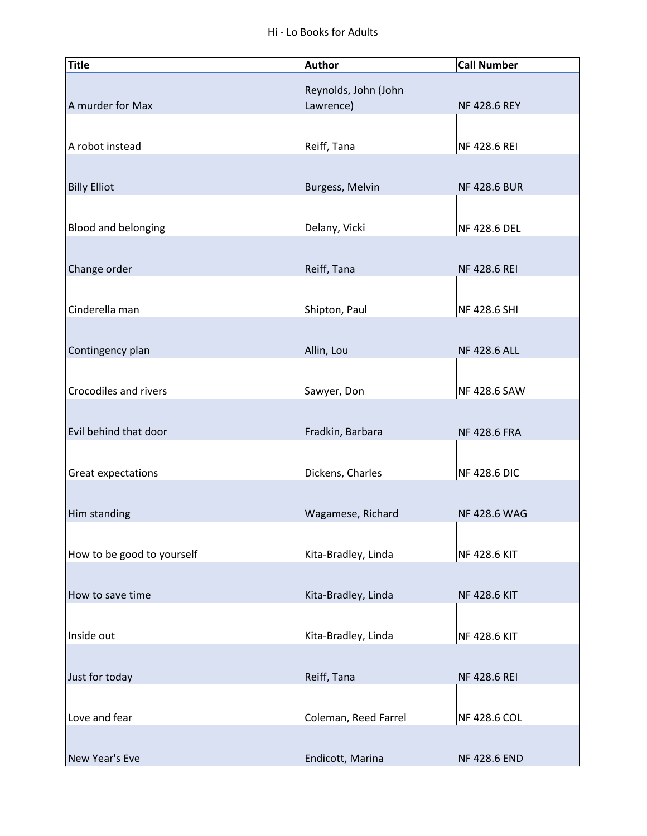| <b>Title</b>               | <b>Author</b>        | <b>Call Number</b>  |
|----------------------------|----------------------|---------------------|
|                            | Reynolds, John (John |                     |
| A murder for Max           | Lawrence)            | <b>NF 428.6 REY</b> |
|                            |                      |                     |
| A robot instead            | Reiff, Tana          | NF 428.6 REI        |
|                            |                      |                     |
| <b>Billy Elliot</b>        | Burgess, Melvin      | <b>NF 428.6 BUR</b> |
|                            |                      |                     |
| Blood and belonging        | Delany, Vicki        | NF 428.6 DEL        |
|                            |                      |                     |
| Change order               | Reiff, Tana          | <b>NF 428.6 REI</b> |
|                            |                      |                     |
| Cinderella man             | Shipton, Paul        | NF 428.6 SHI        |
|                            |                      |                     |
| Contingency plan           | Allin, Lou           | <b>NF 428.6 ALL</b> |
|                            |                      |                     |
| Crocodiles and rivers      |                      |                     |
|                            | Sawyer, Don          | NF 428.6 SAW        |
|                            |                      |                     |
| Evil behind that door      | Fradkin, Barbara     | <b>NF 428.6 FRA</b> |
|                            |                      |                     |
| Great expectations         | Dickens, Charles     | <b>NF 428.6 DIC</b> |
|                            |                      |                     |
| Him standing               | Wagamese, Richard    | <b>NF 428.6 WAG</b> |
|                            |                      |                     |
| How to be good to yourself | Kita-Bradley, Linda  | NF 428.6 KIT        |
|                            |                      |                     |
| How to save time           | Kita-Bradley, Linda  | <b>NF 428.6 KIT</b> |
|                            |                      |                     |
| Inside out                 | Kita-Bradley, Linda  | NF 428.6 KIT        |
|                            |                      |                     |
| Just for today             | Reiff, Tana          | <b>NF 428.6 REI</b> |
|                            |                      |                     |
| Love and fear              | Coleman, Reed Farrel | <b>NF 428.6 COL</b> |
|                            |                      |                     |
| New Year's Eve             | Endicott, Marina     | <b>NF 428.6 END</b> |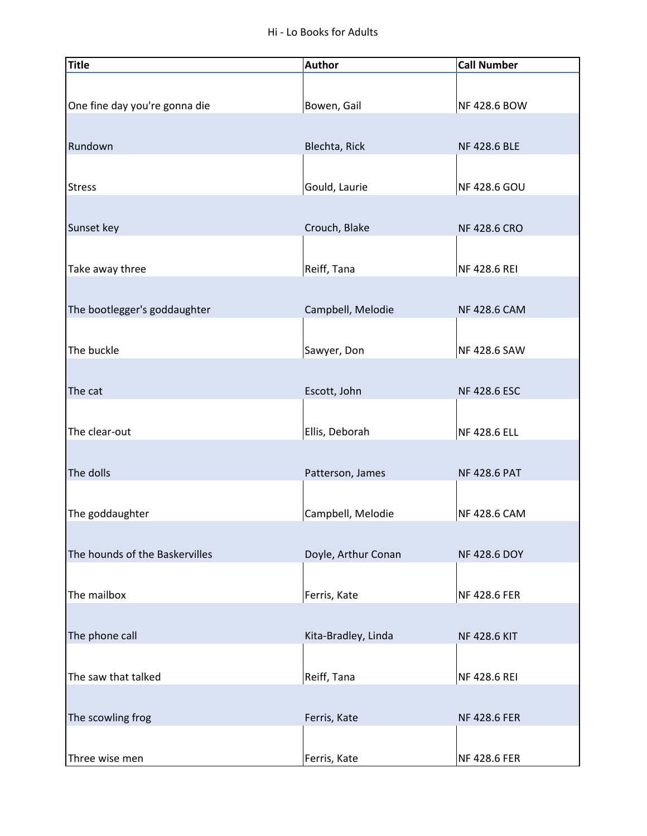| <b>Title</b>                   | <b>Author</b>       | <b>Call Number</b>  |
|--------------------------------|---------------------|---------------------|
|                                |                     |                     |
| One fine day you're gonna die  | Bowen, Gail         | NF 428.6 BOW        |
|                                |                     |                     |
| Rundown                        | Blechta, Rick       | NF 428.6 BLE        |
|                                |                     |                     |
| <b>Stress</b>                  | Gould, Laurie       | NF 428.6 GOU        |
|                                |                     |                     |
| Sunset key                     | Crouch, Blake       | <b>NF 428.6 CRO</b> |
|                                |                     |                     |
| Take away three                | Reiff, Tana         | NF 428.6 REI        |
|                                |                     |                     |
| The bootlegger's goddaughter   | Campbell, Melodie   | <b>NF 428.6 CAM</b> |
|                                |                     |                     |
| The buckle                     | Sawyer, Don         | NF 428.6 SAW        |
|                                |                     |                     |
| The cat                        | Escott, John        | <b>NF 428.6 ESC</b> |
|                                |                     |                     |
| The clear-out                  | Ellis, Deborah      | NF 428.6 ELL        |
|                                |                     |                     |
| The dolls                      | Patterson, James    | <b>NF 428.6 PAT</b> |
|                                |                     |                     |
| The goddaughter                | Campbell, Melodie   | NF 428.6 CAM        |
|                                |                     |                     |
| The hounds of the Baskervilles | Doyle, Arthur Conan | <b>NF 428.6 DOY</b> |
| The mailbox                    | Ferris, Kate        | NF 428.6 FER        |
|                                |                     |                     |
| The phone call                 | Kita-Bradley, Linda | <b>NF 428.6 KIT</b> |
|                                |                     |                     |
| The saw that talked            | Reiff, Tana         | NF 428.6 REI        |
|                                |                     |                     |
| The scowling frog              | Ferris, Kate        | <b>NF 428.6 FER</b> |
|                                |                     |                     |
| Three wise men                 | Ferris, Kate        | NF 428.6 FER        |